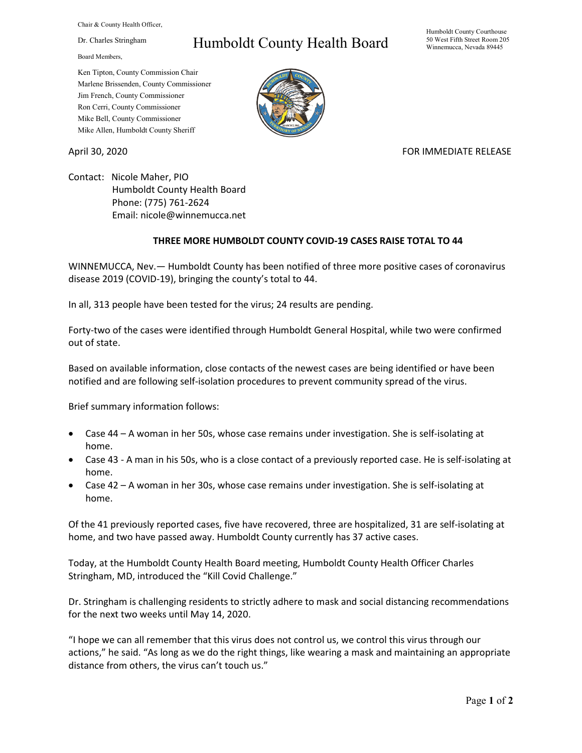Chair & County Health Officer,

Dr. Charles Stringham

Board Members,

## Humboldt County Health Board

Humboldt County Courthouse 50 West Fifth Street Room 205 Winnemucca, Nevada 89445

Ken Tipton, County Commission Chair Marlene Brissenden, County Commissioner Jim French, County Commissioner Ron Cerri, County Commissioner Mike Bell, County Commissioner Mike Allen, Humboldt County Sheriff

April 30, 2020 **FOR IMMEDIATE RELEASE** 

Contact: Nicole Maher, PIO Humboldt County Health Board Phone: (775) 761-2624 Email: nicole@winnemucca.net

## **THREE MORE HUMBOLDT COUNTY COVID-19 CASES RAISE TOTAL TO 44**

WINNEMUCCA, Nev.— Humboldt County has been notified of three more positive cases of coronavirus disease 2019 (COVID-19), bringing the county's total to 44.

In all, 313 people have been tested for the virus; 24 results are pending.

Forty-two of the cases were identified through Humboldt General Hospital, while two were confirmed out of state.

Based on available information, close contacts of the newest cases are being identified or have been notified and are following self-isolation procedures to prevent community spread of the virus.

Brief summary information follows:

- Case 44 A woman in her 50s, whose case remains under investigation. She is self-isolating at home.
- Case 43 A man in his 50s, who is a close contact of a previously reported case. He is self-isolating at home.
- Case 42 A woman in her 30s, whose case remains under investigation. She is self-isolating at home.

Of the 41 previously reported cases, five have recovered, three are hospitalized, 31 are self-isolating at home, and two have passed away. Humboldt County currently has 37 active cases.

Today, at the Humboldt County Health Board meeting, Humboldt County Health Officer Charles Stringham, MD, introduced the "Kill Covid Challenge."

Dr. Stringham is challenging residents to strictly adhere to mask and social distancing recommendations for the next two weeks until May 14, 2020.

"I hope we can all remember that this virus does not control us, we control this virus through our actions," he said. "As long as we do the right things, like wearing a mask and maintaining an appropriate distance from others, the virus can't touch us."